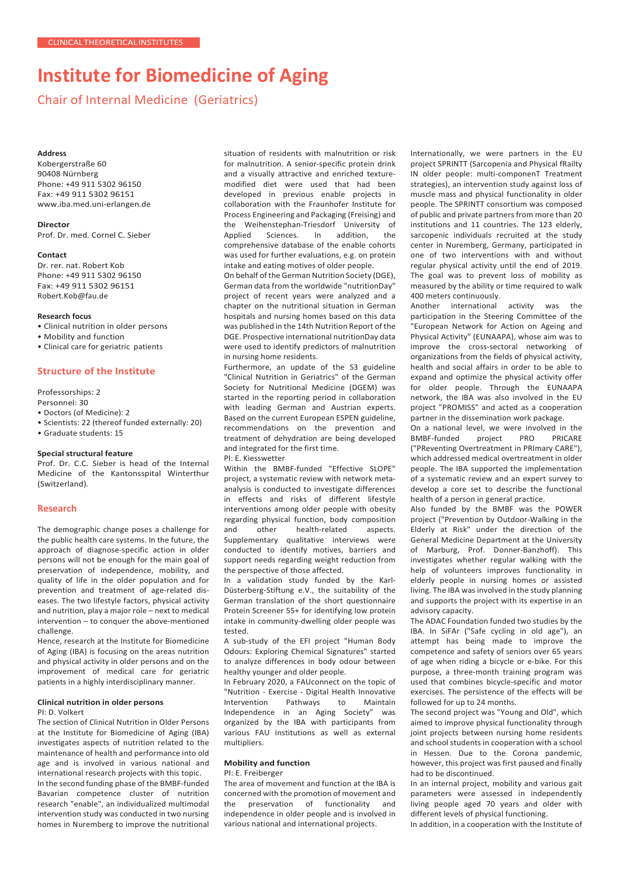# **Institute for Biomedicine of Aging**

Chair of Internal Medicine (Geriatrics)

#### **Address**

Kobergerstraße 60 90408 Nürnberg Phone: +49 911 5302 96150 Fax: +49 911 5302 96151 [www.iba.med.uni-erlangen.de](http://www.iba.med.uni-erlangen.de/)

**Director**

Prof. Dr. med. Cornel C. Sieber

#### **Contact**

Dr. rer. nat. Robert Kob Phone: +49 911 5302 96150 Fax: +49 911 5302 96151 [Robert.Kob@fau.de](mailto:Robert.Kob@fau.de)

# **Research focus**

• Clinical nutrition in older persons

- Mobility and function
- Clinical care for geriatric patients

# **Structure of the Institute**

Professorships: 2

- Personnel: 30
- Doctors (of Medicine): 2
- Scientists: 22 (thereof funded externally: 20)

• Graduate students: 15

### **Special structural feature**

Prof. Dr. C.C. Sieber is head of the Internal Medicine of the Kantonsspital Winterthur (Switzerland).

# **Research**

The demographic change poses a challenge for the public health care systems. In the future, the approach of diagnose-specific action in older persons will not be enough for the main goal of preservation of independence, mobility, and quality of life in the older population and for prevention and treatment of age-related diseases. The two lifestyle factors, physical activity and nutrition, play a major role – next to medical intervention – to conquer the above-mentioned challenge.

Hence, research at the Institute for Biomedicine of Aging (IBA) is focusing on the areas nutrition and physical activity in older persons and on the improvement of medical care for geriatric patients in a highly interdisciplinary manner.

#### **Clinical nutrition in older persons**

#### PI: D. Volkert

The section of Clinical Nutrition in Older Persons at the Institute for Biomedicine of Aging (IBA) investigates aspects of nutrition related to the maintenance of health and performance into old age and is involved in various national and international research projects with this topic. In the second funding phase of the BMBF-funded Bavarian competence cluster of nutrition

research "enable", an individualized multimodal intervention study was conducted in two nursing homes in Nuremberg to improve the nutritional

situation of residents with malnutrition or risk for malnutrition. A senior-specific protein drink and a visually attractive and enriched texturemodified diet were used that had been developed in previous enable projects in collaboration with the Fraunhofer Institute for Process Engineering and Packaging (Freising) and the Weihenstephan-Triesdorf University of Applied Sciences. In addition, the comprehensive database of the enable cohorts was used for further evaluations, e.g. on protein intake and eating motives of older people.

On behalf of the German Nutrition Society (DGE), German data from the worldwide "nutritionDay" project of recent years were analyzed and a chapter on the nutritional situation in German hospitals and nursing homes based on this data was published in the 14th Nutrition Report of the DGE. Prospective international nutritionDay data were used to identify predictors of malnutrition in nursing home residents.

Furthermore, an update of the S3 guideline "Clinical Nutrition in Geriatrics" of the German Society for Nutritional Medicine (DGEM) was started in the reporting period in collaboration with leading German and Austrian experts. Based on the current European ESPEN guideline, recommendations on the prevention and treatment of dehydration are being developed and integrated for the first time.

PI: E. Kiesswetter

Within the BMBF-funded "Effective SLOPE" project, a systematic review with network metaanalysis is conducted to investigate differences in effects and risks of different lifestyle interventions among older people with obesity regarding physical function, body composition<br>and other health-related aspects. and other health-related aspects. Supplementary qualitative interviews were conducted to identify motives, barriers and support needs regarding weight reduction from the perspective of those affected.

In a validation study funded by the Karl-Düsterberg-Stiftung e.V., the suitability of the German translation of the short questionnaire Protein Screener 55+ for identifying low protein intake in community-dwelling older people was tested.

A sub-study of the EFI project "Human Body Odours: Exploring Chemical Signatures" started to analyze differences in body odour between healthy younger and older people.

In February 2020, a FAUconnect on the topic of "Nutrition - Exercise - Digital Health Innovative Intervention Pathways to Maintain Independence in an Aging Society" was organized by the IBA with participants from various FAU institutions as well as external multipliers.

# **Mobility and function**

## PI: E. Freiberger

The area of movement and function at the IBA is concerned with the promotion of movement and the preservation of functionality and independence in older people and is involved in various national and international projects.

Internationally, we were partners in the EU project SPRINTT (Sarcopenia and Physical fRailty IN older people: multi-componenT Treatment strategies), an intervention study against loss of muscle mass and physical functionality in older people. The SPRINTT consortium was composed of public and private partners from more than 20 institutions and 11 countries. The 123 elderly, sarcopenic individuals recruited at the study center in Nuremberg, Germany, participated in one of two interventions with and without regular physical activity until the end of 2019. The goal was to prevent loss of mobility as measured by the ability or time required to walk 400 meters continuously.

Another international activity was the participation in the Steering Committee of the "European Network for Action on Ageing and Physical Activity" (EUNAAPA), whose aim was to improve the cross-sectoral networking of organizations from the fields of physical activity, health and social affairs in order to be able to expand and optimize the physical activity offer for older people. Through the EUNAAPA network, the IBA was also involved in the EU project "PROMISS" and acted as a cooperation partner in the dissemination work package.

On a national level, we were involved in the<br>BMBF-funded project PRO PRICARE BMBF-funded ("PReventing Overtreatment in PRImary CARE"), which addressed medical overtreatment in older people. The IBA supported the implementation of a systematic review and an expert survey to develop a core set to describe the functional health of a person in general practice.

Also funded by the BMBF was the POWER project ("Prevention by Outdoor-Walking in the Elderly at Risk" under the direction of the General Medicine Department at the University of Marburg, Prof. Donner-Banzhoff). This investigates whether regular walking with the help of volunteers improves functionality in elderly people in nursing homes or assisted living. The IBA was involved in the study planning and supports the project with its expertise in an advisory capacity.

The ADAC Foundation funded two studies by the IBA. In SiFAr ("Safe cycling in old age"), an attempt has being made to improve the competence and safety of seniors over 65 years of age when riding a bicycle or e-bike. For this purpose, a three-month training program was used that combines bicycle-specific and motor exercises. The persistence of the effects will be followed for up to 24 months.

The second project was "Young and Old", which aimed to improve physical functionality through joint projects between nursing home residents and school students in cooperation with a school in Hessen. Due to the Corona pandemic, however, this project was first paused and finally had to be discontinued.

In an internal project, mobility and various gait parameters were assessed in independently living people aged 70 years and older with different levels of physical functioning.

In addition, in a cooperation with the Institute of